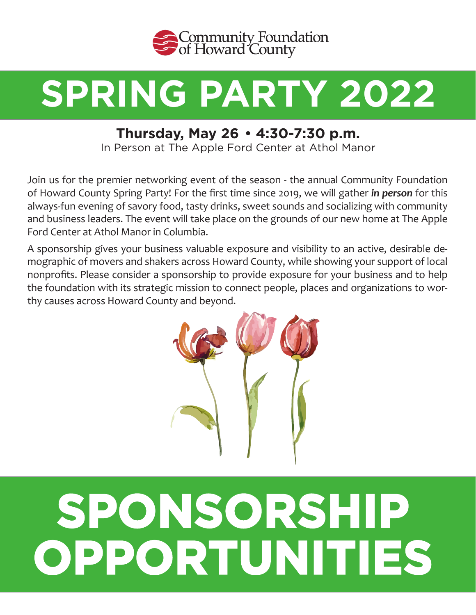

## **SPRING PARTY 2022**

## **Thursday, May 26 • 4:30-7:30 p.m.**

In Person at The Apple Ford Center at Athol Manor

Join us for the premier networking event of the season - the annual Community Foundation of Howard County Spring Party! For the first time since 2019, we will gather *in person* for this always-fun evening of savory food, tasty drinks, sweet sounds and socializing with community and business leaders. The event will take place on the grounds of our new home at The Apple Ford Center at Athol Manor in Columbia.

A sponsorship gives your business valuable exposure and visibility to an active, desirable demographic of movers and shakers across Howard County, while showing your support of local nonprofits. Please consider a sponsorship to provide exposure for your business and to help the foundation with its strategic mission to connect people, places and organizations to worthy causes across Howard County and beyond.



# **SPONSORSHIP OPPORTUNITIES**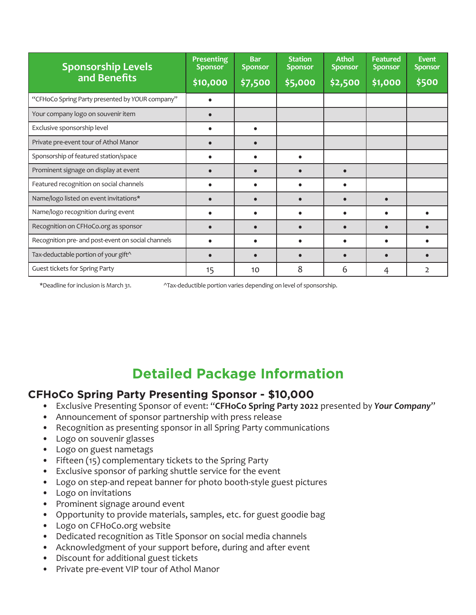| <b>Sponsorship Levels</b><br>and Benefits          | <b>Presenting</b><br><b>Sponsor</b><br>\$10,000 | <b>Bar</b><br><b>Sponsor</b><br>\$7,500 | <b>Station</b><br><b>Sponsor</b><br>\$5,000 | <b>Athol</b><br><b>Sponsor</b><br>\$2,500 | <b>Featured</b><br><b>Sponsor</b><br>\$1,000 | <b>Event</b><br><b>Sponsor</b><br>\$500 |
|----------------------------------------------------|-------------------------------------------------|-----------------------------------------|---------------------------------------------|-------------------------------------------|----------------------------------------------|-----------------------------------------|
| "CFHoCo Spring Party presented by YOUR company"    |                                                 |                                         |                                             |                                           |                                              |                                         |
| Your company logo on souvenir item                 |                                                 |                                         |                                             |                                           |                                              |                                         |
| Exclusive sponsorship level                        | $\bullet$                                       | $\bullet$                               |                                             |                                           |                                              |                                         |
| Private pre-event tour of Athol Manor              |                                                 | $\bullet$                               |                                             |                                           |                                              |                                         |
| Sponsorship of featured station/space              |                                                 | $\bullet$                               | $\bullet$                                   |                                           |                                              |                                         |
| Prominent signage on display at event              |                                                 | $\bullet$                               | $\bullet$                                   |                                           |                                              |                                         |
| Featured recognition on social channels            |                                                 | $\bullet$                               | $\bullet$                                   |                                           |                                              |                                         |
| Name/logo listed on event invitations*             | $\bullet$                                       | $\bullet$                               | $\bullet$                                   | $\bullet$                                 |                                              |                                         |
| Name/logo recognition during event                 |                                                 |                                         |                                             |                                           |                                              |                                         |
| Recognition on CFHoCo.org as sponsor               |                                                 | $\bullet$                               | $\bullet$                                   |                                           |                                              |                                         |
| Recognition pre- and post-event on social channels | $\bullet$                                       | $\bullet$                               | $\bullet$                                   | $\bullet$                                 |                                              |                                         |
| Tax-deductable portion of your gift^               |                                                 |                                         |                                             |                                           |                                              |                                         |
| Guest tickets for Spring Party                     | 15                                              | 10                                      | 8                                           | 6                                         | 4                                            | $\overline{2}$                          |

\*Deadline for inclusion is March 31. ^Tax-deductible portion varies depending on level of sponsorship.

## **Detailed Package Information**

#### **CFHoCo Spring Party Presenting Sponsor - \$10,000**

- Exclusive Presenting Sponsor of event: "**CFHoCo Spring Party 2022** presented by *Your Company*"
- Announcement of sponsor partnership with press release
- Recognition as presenting sponsor in all Spring Party communications
- Logo on souvenir glasses
- Logo on guest nametags
- Fifteen (15) complementary tickets to the Spring Party
- Exclusive sponsor of parking shuttle service for the event
- Logo on step-and repeat banner for photo booth-style guest pictures
- Logo on invitations
- Prominent signage around event
- Opportunity to provide materials, samples, etc. for guest goodie bag
- Logo on CFHoCo.org website
- Dedicated recognition as Title Sponsor on social media channels
- Acknowledgment of your support before, during and after event
- Discount for additional guest tickets
- Private pre-event VIP tour of Athol Manor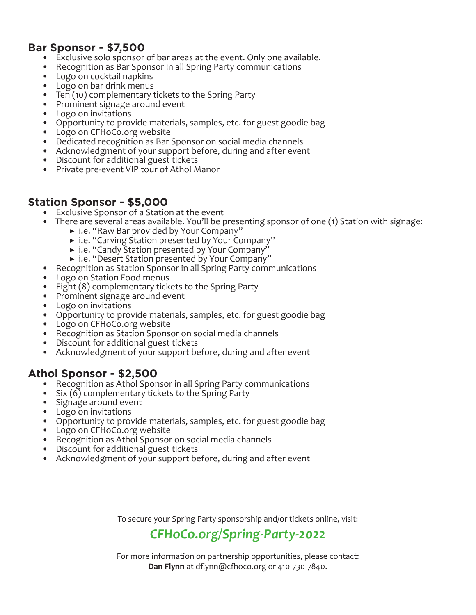#### **Bar Sponsor - \$7,500**

- 
- Exclusive solo sponsor of bar areas at the event. Only one available. Recognition as Bar Sponsor in all Spring Party communications Logo on cocktail napkins Logo on bar drink menus
- 
- 
- Ten (10) complementary tickets to the Spring Party
- Prominent signage around event
- Logo on invitations
- Opportunity to provide materials, samples, etc. for guest goodie bag
- Logo on CFHoCo.org website
- Dedicated recognition as Bar Sponsor on social media channels
- Acknowledgment of your support before, during and after event
- Discount for additional guest tickets
- Private pre-event VIP tour of Athol Manor

#### **Station Sponsor - \$5,000**

- Exclusive Sponsor of a Station at the event
- There are several areas available. You'll be presenting sponsor of one (1) Station with signage:
	- ▶ i.e. "Raw Bar provided by Your Company"
	- ▶ i.e. "Carving Station presented by Your Company"
	- ▶ i.e. "Candy Station presented by Your Company"
	- ▶ i.e. "Desert Station presented by Your Company"
- Recognition as Station Sponsor in all Spring Party communications
- Logo on Station Food menus
- Eight (8) complementary tickets to the Spring Party
- Prominent signage around event
- Logo on invitations
- Opportunity to provide materials, samples, etc. for guest goodie bag<br>• Logo on CFHoCo.org website<br>• Recognition as Station Sponsor on social media channels<br>• Discount for additional guest tickets<br>• Acknowledgment of your
- 
- 
- 
- 

#### **Athol Sponsor - \$2,500**

- Recognition as Athol Sponsor in all Spring Party communications
- Six  $(6)$  complementary tickets to the Spring Party
- Signage around event
- Logo on invitations
- Opportunity to provide materials, samples, etc. for guest goodie bag<br>• Logo on CFHoCo.org website
- 
- Recognition as Athol Sponsor on social media channels<br>• Discount for additional guest tickets<br>• Acknowledgment of your support before, during and after event
- 
- 

To secure your Spring Party sponsorship and/or tickets online, visit:

### *CFHoCo.org/Spring-Party-2022*

For more information on partnership opportunities, please contact: **Dan Flynn** at dflynn@cfhoco.org or 410-730-7840.